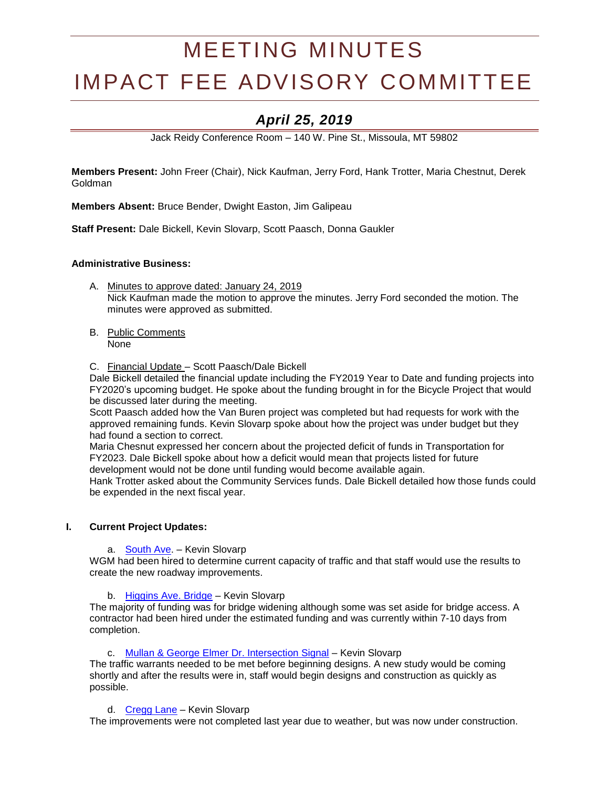# MEETING MINUTES IMPACT FEE ADVISORY COMMITTEE

# *April 25, 2019*

Jack Reidy Conference Room – 140 W. Pine St., Missoula, MT 59802

**Members Present:** John Freer (Chair), Nick Kaufman, Jerry Ford, Hank Trotter, Maria Chestnut, Derek Goldman

**Members Absent:** Bruce Bender, Dwight Easton, Jim Galipeau

**Staff Present:** Dale Bickell, Kevin Slovarp, Scott Paasch, Donna Gaukler

# **Administrative Business:**

- A. Minutes to approve dated: January 24, 2019 Nick Kaufman made the motion to approve the minutes. Jerry Ford seconded the motion. The minutes were approved as submitted.
- B. Public Comments None

C. Financial Update – Scott Paasch/Dale Bickell

Dale Bickell detailed the financial update including the FY2019 Year to Date and funding projects into FY2020's upcoming budget. He spoke about the funding brought in for the Bicycle Project that would be discussed later during the meeting.

Scott Paasch added how the Van Buren project was completed but had requests for work with the approved remaining funds. Kevin Slovarp spoke about how the project was under budget but they had found a section to correct.

Maria Chesnut expressed her concern about the projected deficit of funds in Transportation for FY2023. Dale Bickell spoke about how a deficit would mean that projects listed for future development would not be done until funding would become available again.

Hank Trotter asked about the Community Services funds. Dale Bickell detailed how those funds could be expended in the next fiscal year.

#### **I. Current Project Updates:**

a. [South Ave.](https://www.ci.missoula.mt.us/DocumentCenter/View/39239) – Kevin Slovarp

WGM had been hired to determine current capacity of traffic and that staff would use the results to create the new roadway improvements.

b. [Higgins Ave. Bridge](https://www.ci.missoula.mt.us/DocumentCenter/View/33695) – Kevin Slovarp

The majority of funding was for bridge widening although some was set aside for bridge access. A contractor had been hired under the estimated funding and was currently within 7-10 days from completion.

c. [Mullan & George Elmer Dr. Intersection Signal](https://www.ci.missoula.mt.us/DocumentCenter/View/39234) – Kevin Slovarp

The traffic warrants needed to be met before beginning designs. A new study would be coming shortly and after the results were in, staff would begin designs and construction as quickly as possible.

d. [Cregg Lane](https://www.ci.missoula.mt.us/DocumentCenter/View/41366) - Kevin Slovarp

The improvements were not completed last year due to weather, but was now under construction.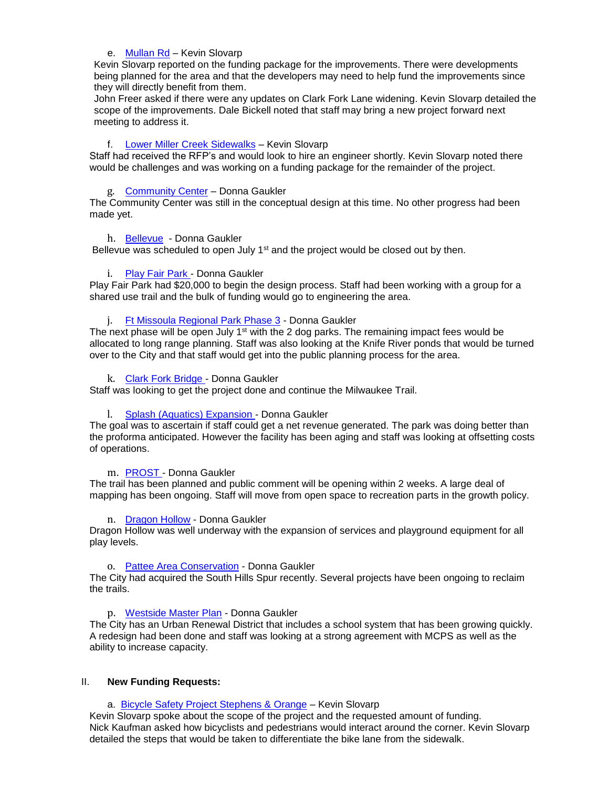#### e. [Mullan Rd](https://www.ci.missoula.mt.us/DocumentCenter/View/46585/DS---Mullan-Rd-Reconstruction) – Kevin Slovarp

Kevin Slovarp reported on the funding package for the improvements. There were developments being planned for the area and that the developers may need to help fund the improvements since they will directly benefit from them.

John Freer asked if there were any updates on Clark Fork Lane widening. Kevin Slovarp detailed the scope of the improvements. Dale Bickell noted that staff may bring a new project forward next meeting to address it.

# f. [Lower Miller Creek Sidewalks](https://www.ci.missoula.mt.us/DocumentCenter/View/46584/DS---Lower-Miller-Creek-Road-LVB-to-Bigfork) – Kevin Slovarp

Staff had received the RFP's and would look to hire an engineer shortly. Kevin Slovarp noted there would be challenges and was working on a funding package for the remainder of the project.

# g. [Community Center](https://www.ci.missoula.mt.us/DocumentCenter/View/33701) – Donna Gaukler

The Community Center was still in the conceptual design at this time. No other progress had been made yet.

#### h. [Bellevue](http://mt-missoula2.civicplus.com/DocumentCenter/View/32600/2015-Impact-Fee-Funding-Parks-and-Trails-Playgrounds?bidId=) - Donna Gaukler

Bellevue was scheduled to open July  $1<sup>st</sup>$  and the project would be closed out by then.

# i. [Play Fair Park](file:///C:/Users/dehavenl/AppData/Roaming/Microsoft/Word/Playfair%20park) - Donna Gaukler

Plav Fair Park had \$20,000 to begin the design process. Staff had been working with a group for a shared use trail and the bulk of funding would go to engineering the area.

# j. [Ft Missoula Regional Park Phase 3](https://www.ci.missoula.mt.us/DocumentCenter/View/46587/PandR---Ft-Msla-Regional-Park-Phase-3) - Donna Gaukler

The next phase will be open July 1<sup>st</sup> with the 2 dog parks. The remaining impact fees would be allocated to long range planning. Staff was also looking at the Knife River ponds that would be turned over to the City and that staff would get into the public planning process for the area.

#### k. [Clark Fork Bridge](https://www.ci.missoula.mt.us/DocumentCenter/View/46589/PandR---Clark-Fork-Bridge-West) - Donna Gaukler

Staff was looking to get the project done and continue the Milwaukee Trail.

#### l. [Splash \(Aquatics\) Expansion](https://www.ci.missoula.mt.us/DocumentCenter/View/46586/Pand-R---Aquatics-Revenue-Generation) - Donna Gaukler

The goal was to ascertain if staff could get a net revenue generated. The park was doing better than the proforma anticipated. However the facility has been aging and staff was looking at offsetting costs of operations.

#### m. [PROST](https://www.ci.missoula.mt.us/DocumentCenter/View/46592/PandR---PROST-Plan) - Donna Gaukler

The trail has been planned and public comment will be opening within 2 weeks. A large deal of mapping has been ongoing. Staff will move from open space to recreation parts in the growth policy.

#### n. [Dragon Hollow](https://www.ci.missoula.mt.us/DocumentCenter/View/48283/PandR-Impact-fee--Application-Dragon-Hollow) - Donna Gaukler

Dragon Hollow was well underway with the expansion of services and playground equipment for all play levels.

#### o. [Pattee Area Conservation](https://www.ci.missoula.mt.us/DocumentCenter/View/48278/PandR--App-Pattee-Area-Conservation) - Donna Gaukler

The City had acquired the South Hills Spur recently. Several projects have been ongoing to reclaim the trails.

#### p. [Westside Master Plan](https://www.ci.missoula.mt.us/DocumentCenter/View/48285/PandR-westside-impact-fee-application) - Donna Gaukler

The City has an Urban Renewal District that includes a school system that has been growing quickly. A redesign had been done and staff was looking at a strong agreement with MCPS as well as the ability to increase capacity.

#### II. **New Funding Requests:**

a. [Bicycle Safety Project Stephens & Orange](https://www.ci.missoula.mt.us/DocumentCenter/View/49308/Bicycle-Safety-Project---Stephens-Orange) – Kevin Slovarp

Kevin Slovarp spoke about the scope of the project and the requested amount of funding. Nick Kaufman asked how bicyclists and pedestrians would interact around the corner. Kevin Slovarp detailed the steps that would be taken to differentiate the bike lane from the sidewalk.